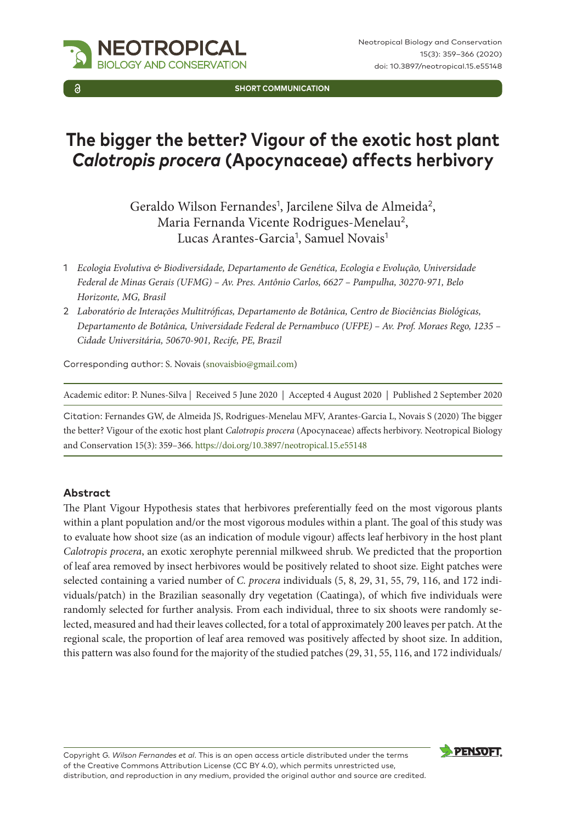

Neotropical Biology and Conservation 15(3): 359–366 (2020) doi: 10.3897/neotropical.15.e55148

**SHORT COMMUNICATION**

# **The bigger the better? Vigour of the exotic host plant**  *Calotropis procera* **(Apocynaceae) affects herbivory**

Geraldo Wilson Fernandes<sup>1</sup>, Jarcilene Silva de Almeida<sup>2</sup>, Maria Fernanda Vicente Rodrigues-Menelau<sup>2</sup>, Lucas Arantes-Garcia<sup>1</sup>, Samuel Novais<sup>1</sup>

- 1 *Ecologia Evolutiva & Biodiversidade, Departamento de Genética, Ecologia e Evolução, Universidade Federal de Minas Gerais (UFMG) – Av. Pres. Antônio Carlos, 6627 – Pampulha, 30270-971, Belo Horizonte, MG, Brasil*
- 2 *Laboratório de Interações Multitróficas, Departamento de Botânica, Centro de Biociências Biológicas, Departamento de Botânica, Universidade Federal de Pernambuco (UFPE) – Av. Prof. Moraes Rego, 1235 – Cidade Universitária, 50670-901, Recife, PE, Brazil*

Corresponding author: S. Novais [\(snovaisbio@gmail.com](mailto:snovaisbio@gmail.com))

Academic editor: P. Nunes-Silva | Received 5 June 2020 | Accepted 4 August 2020 | Published 2 September 2020

Citation: Fernandes GW, de Almeida JS, Rodrigues-Menelau MFV, Arantes-Garcia L, Novais S (2020) The bigger the better? Vigour of the exotic host plant *Calotropis procera* (Apocynaceae) affects herbivory. Neotropical Biology and Conservation 15(3): 359–366.<https://doi.org/10.3897/neotropical.15.e55148>

#### **Abstract**

The Plant Vigour Hypothesis states that herbivores preferentially feed on the most vigorous plants within a plant population and/or the most vigorous modules within a plant. The goal of this study was to evaluate how shoot size (as an indication of module vigour) affects leaf herbivory in the host plant *Calotropis procera*, an exotic xerophyte perennial milkweed shrub. We predicted that the proportion of leaf area removed by insect herbivores would be positively related to shoot size. Eight patches were selected containing a varied number of *C. procera* individuals (5, 8, 29, 31, 55, 79, 116, and 172 individuals/patch) in the Brazilian seasonally dry vegetation (Caatinga), of which five individuals were randomly selected for further analysis. From each individual, three to six shoots were randomly selected, measured and had their leaves collected, for a total of approximately 200 leaves per patch. At the regional scale, the proportion of leaf area removed was positively affected by shoot size. In addition, this pattern was also found for the majority of the studied patches (29, 31, 55, 116, and 172 individuals/

Copyright *G. Wilson Fernandes et al*. This is an open access article distributed under the terms of the [Creative Commons Attribution License \(CC BY 4.0\)](http://creativecommons.org/licenses/by/4.0/), which permits unrestricted use, distribution, and reproduction in any medium, provided the original author and source are credited.

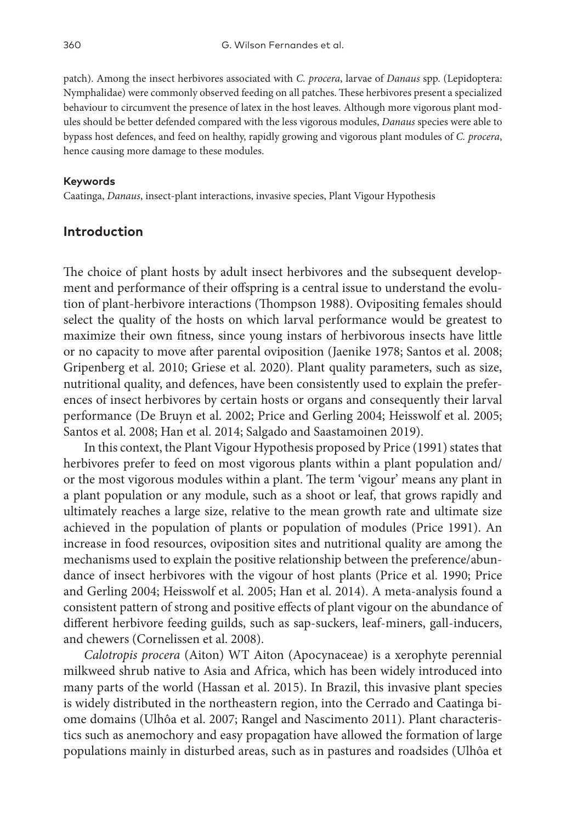patch). Among the insect herbivores associated with *C. procera*, larvae of *Danaus* spp. (Lepidoptera: Nymphalidae) were commonly observed feeding on all patches. These herbivores present a specialized behaviour to circumvent the presence of latex in the host leaves. Although more vigorous plant modules should be better defended compared with the less vigorous modules, *Danaus* species were able to bypass host defences, and feed on healthy, rapidly growing and vigorous plant modules of *C. procera*, hence causing more damage to these modules.

#### **Keywords**

Caatinga, *Danaus*, insect-plant interactions, invasive species, Plant Vigour Hypothesis

## **Introduction**

The choice of plant hosts by adult insect herbivores and the subsequent development and performance of their offspring is a central issue to understand the evolution of plant-herbivore interactions (Thompson 1988). Ovipositing females should select the quality of the hosts on which larval performance would be greatest to maximize their own fitness, since young instars of herbivorous insects have little or no capacity to move after parental oviposition (Jaenike 1978; Santos et al. 2008; Gripenberg et al. 2010; Griese et al. 2020). Plant quality parameters, such as size, nutritional quality, and defences, have been consistently used to explain the preferences of insect herbivores by certain hosts or organs and consequently their larval performance (De Bruyn et al. 2002; Price and Gerling 2004; Heisswolf et al. 2005; Santos et al. 2008; Han et al. 2014; Salgado and Saastamoinen 2019).

In this context, the Plant Vigour Hypothesis proposed by Price (1991) states that herbivores prefer to feed on most vigorous plants within a plant population and/ or the most vigorous modules within a plant. The term 'vigour' means any plant in a plant population or any module, such as a shoot or leaf, that grows rapidly and ultimately reaches a large size, relative to the mean growth rate and ultimate size achieved in the population of plants or population of modules (Price 1991). An increase in food resources, oviposition sites and nutritional quality are among the mechanisms used to explain the positive relationship between the preference/abundance of insect herbivores with the vigour of host plants (Price et al. 1990; Price and Gerling 2004; Heisswolf et al. 2005; Han et al. 2014). A meta-analysis found a consistent pattern of strong and positive effects of plant vigour on the abundance of different herbivore feeding guilds, such as sap-suckers, leaf-miners, gall-inducers, and chewers (Cornelissen et al. 2008).

*Calotropis procera* (Aiton) WT Aiton (Apocynaceae) is a xerophyte perennial milkweed shrub native to Asia and Africa, which has been widely introduced into many parts of the world (Hassan et al. 2015). In Brazil, this invasive plant species is widely distributed in the northeastern region, into the Cerrado and Caatinga biome domains (Ulhôa et al. 2007; Rangel and Nascimento 2011). Plant characteristics such as anemochory and easy propagation have allowed the formation of large populations mainly in disturbed areas, such as in pastures and roadsides (Ulhôa et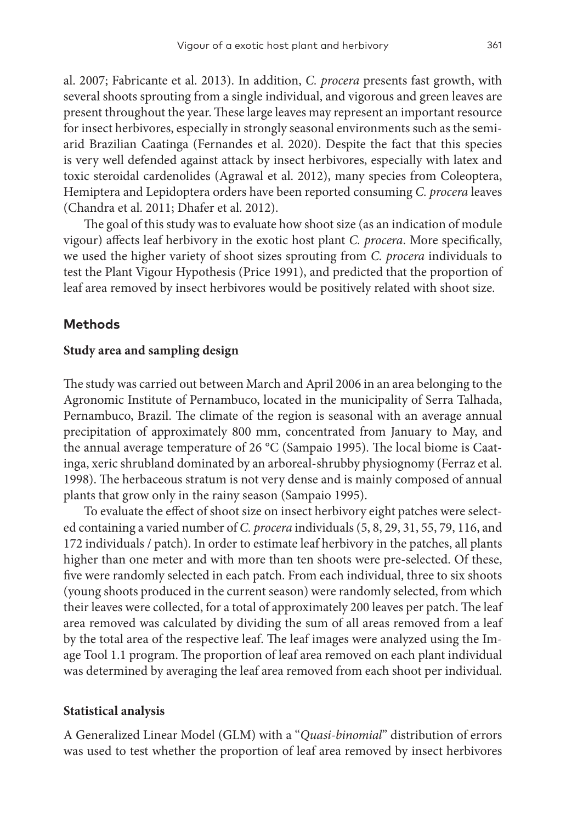al. 2007; Fabricante et al. 2013). In addition, *C. procera* presents fast growth, with several shoots sprouting from a single individual, and vigorous and green leaves are present throughout the year. These large leaves may represent an important resource for insect herbivores, especially in strongly seasonal environments such as the semiarid Brazilian Caatinga (Fernandes et al. 2020). Despite the fact that this species is very well defended against attack by insect herbivores, especially with latex and toxic steroidal cardenolides (Agrawal et al. 2012), many species from Coleoptera, Hemiptera and Lepidoptera orders have been reported consuming *C. procera* leaves (Chandra et al. 2011; Dhafer et al. 2012).

The goal of this study was to evaluate how shoot size (as an indication of module vigour) affects leaf herbivory in the exotic host plant *C. procera*. More specifically, we used the higher variety of shoot sizes sprouting from *C. procera* individuals to test the Plant Vigour Hypothesis (Price 1991), and predicted that the proportion of leaf area removed by insect herbivores would be positively related with shoot size.

### **Methods**

#### **Study area and sampling design**

The study was carried out between March and April 2006 in an area belonging to the Agronomic Institute of Pernambuco, located in the municipality of Serra Talhada, Pernambuco, Brazil. The climate of the region is seasonal with an average annual precipitation of approximately 800 mm, concentrated from January to May, and the annual average temperature of 26 °C (Sampaio 1995). The local biome is Caatinga, xeric shrubland dominated by an arboreal-shrubby physiognomy (Ferraz et al. 1998). The herbaceous stratum is not very dense and is mainly composed of annual plants that grow only in the rainy season (Sampaio 1995).

To evaluate the effect of shoot size on insect herbivory eight patches were selected containing a varied number of *C. procera* individuals (5, 8, 29, 31, 55, 79, 116, and 172 individuals / patch). In order to estimate leaf herbivory in the patches, all plants higher than one meter and with more than ten shoots were pre-selected. Of these, five were randomly selected in each patch. From each individual, three to six shoots (young shoots produced in the current season) were randomly selected, from which their leaves were collected, for a total of approximately 200 leaves per patch. The leaf area removed was calculated by dividing the sum of all areas removed from a leaf by the total area of the respective leaf. The leaf images were analyzed using the Image Tool 1.1 program. The proportion of leaf area removed on each plant individual was determined by averaging the leaf area removed from each shoot per individual.

#### **Statistical analysis**

A Generalized Linear Model (GLM) with a "*Quasi-binomial*" distribution of errors was used to test whether the proportion of leaf area removed by insect herbivores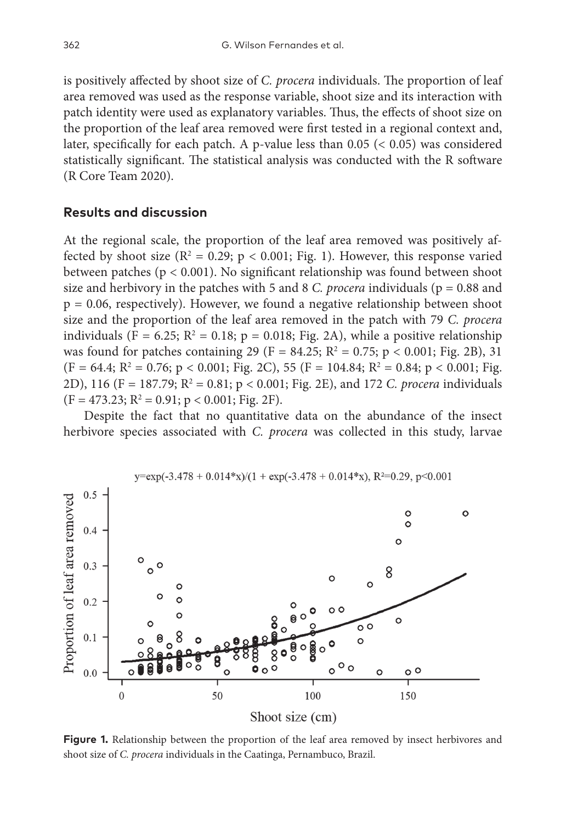is positively affected by shoot size of *C. procera* individuals. The proportion of leaf area removed was used as the response variable, shoot size and its interaction with patch identity were used as explanatory variables. Thus, the effects of shoot size on the proportion of the leaf area removed were first tested in a regional context and, later, specifically for each patch. A p-value less than  $0.05 \leq 0.05$  was considered statistically significant. The statistical analysis was conducted with the R software (R Core Team 2020).

## **Results and discussion**

At the regional scale, the proportion of the leaf area removed was positively affected by shoot size ( $\mathbb{R}^2 = 0.29$ ;  $p < 0.001$ ; Fig. 1). However, this response varied between patches (p < 0.001). No significant relationship was found between shoot size and herbivory in the patches with 5 and 8 *C. procera* individuals ( $p = 0.88$  and  $p = 0.06$ , respectively). However, we found a negative relationship between shoot size and the proportion of the leaf area removed in the patch with 79 *C. procera* individuals (F = 6.25;  $R^2 = 0.18$ ; p = 0.018; Fig. 2A), while a positive relationship was found for patches containing 29 (F = 84.25;  $R^2 = 0.75$ ; p < 0.001; Fig. 2B), 31  $(F = 64.4; R^2 = 0.76; p < 0.001; Fig. 2C), 55 (F = 104.84; R^2 = 0.84; p < 0.001; Fig.$ 2D), 116 (F = 187.79; R<sup>2</sup> = 0.81; p < 0.001; Fig. 2E), and 172 *C. procera* individuals  $(F = 473.23; R^2 = 0.91; p < 0.001; Fig. 2F).$ 

Despite the fact that no quantitative data on the abundance of the insect herbivore species associated with *C. procera* was collected in this study, larvae



 $y=exp(-3.478 + 0.014*x)/(1 + exp(-3.478 + 0.014*x), R^2=0.29, p<0.001$ 

**Figure 1.** Relationship between the proportion of the leaf area removed by insect herbivores and shoot size of *C. procera* individuals in the Caatinga, Pernambuco, Brazil.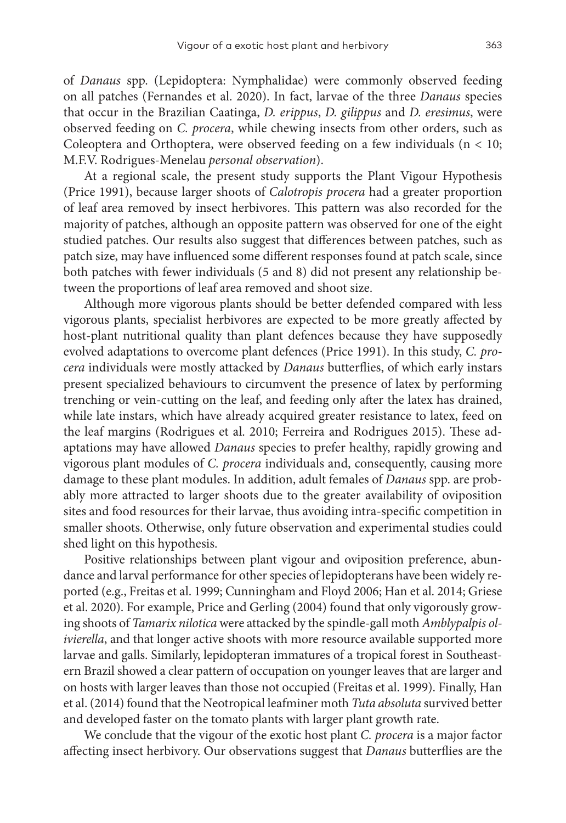of *Danaus* spp. (Lepidoptera: Nymphalidae) were commonly observed feeding on all patches (Fernandes et al. 2020). In fact, larvae of the three *Danaus* species that occur in the Brazilian Caatinga, *D. erippus*, *D. gilippus* and *D. eresimus*, were observed feeding on *C. procera*, while chewing insects from other orders, such as Coleoptera and Orthoptera, were observed feeding on a few individuals ( $n < 10$ ; M.F.V. Rodrigues-Menelau *personal observation*).

At a regional scale, the present study supports the Plant Vigour Hypothesis (Price 1991), because larger shoots of *Calotropis procera* had a greater proportion of leaf area removed by insect herbivores. This pattern was also recorded for the majority of patches, although an opposite pattern was observed for one of the eight studied patches. Our results also suggest that differences between patches, such as patch size, may have influenced some different responses found at patch scale, since both patches with fewer individuals (5 and 8) did not present any relationship between the proportions of leaf area removed and shoot size.

Although more vigorous plants should be better defended compared with less vigorous plants, specialist herbivores are expected to be more greatly affected by host-plant nutritional quality than plant defences because they have supposedly evolved adaptations to overcome plant defences (Price 1991). In this study, *C. procera* individuals were mostly attacked by *Danaus* butterflies, of which early instars present specialized behaviours to circumvent the presence of latex by performing trenching or vein-cutting on the leaf, and feeding only after the latex has drained, while late instars, which have already acquired greater resistance to latex, feed on the leaf margins (Rodrigues et al. 2010; Ferreira and Rodrigues 2015). These adaptations may have allowed *Danaus* species to prefer healthy, rapidly growing and vigorous plant modules of *C. procera* individuals and, consequently, causing more damage to these plant modules. In addition, adult females of *Danaus* spp. are probably more attracted to larger shoots due to the greater availability of oviposition sites and food resources for their larvae, thus avoiding intra-specific competition in smaller shoots. Otherwise, only future observation and experimental studies could shed light on this hypothesis.

Positive relationships between plant vigour and oviposition preference, abundance and larval performance for other species of lepidopterans have been widely reported (e.g., Freitas et al. 1999; Cunningham and Floyd 2006; Han et al. 2014; Griese et al. 2020). For example, Price and Gerling (2004) found that only vigorously growing shoots of *Tamarix nilotica* were attacked by the spindle-gall moth *Amblypalpis olivierella*, and that longer active shoots with more resource available supported more larvae and galls. Similarly, lepidopteran immatures of a tropical forest in Southeastern Brazil showed a clear pattern of occupation on younger leaves that are larger and on hosts with larger leaves than those not occupied (Freitas et al. 1999). Finally, Han et al. (2014) found that the Neotropical leafminer moth *Tuta absoluta* survived better and developed faster on the tomato plants with larger plant growth rate.

We conclude that the vigour of the exotic host plant *C. procera* is a major factor affecting insect herbivory. Our observations suggest that *Danaus* butterflies are the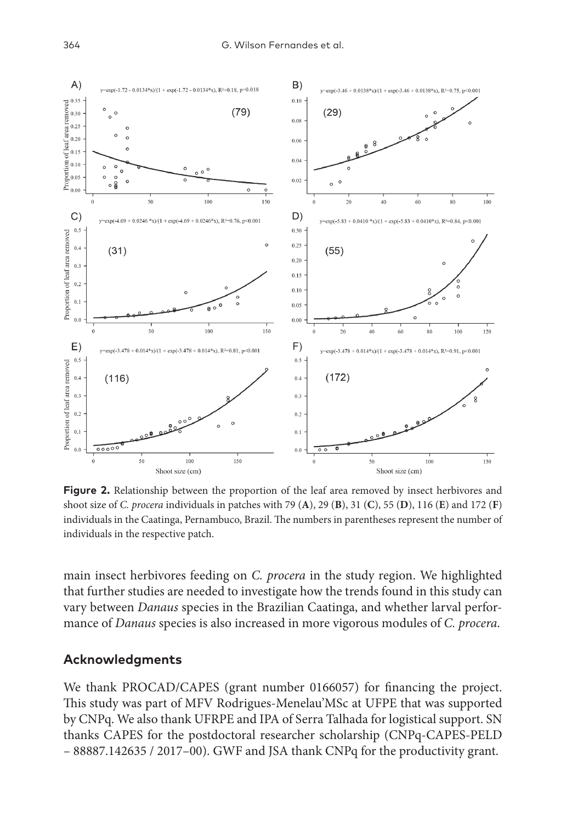

**Figure 2.** Relationship between the proportion of the leaf area removed by insect herbivores and shoot size of *C. procera* individuals in patches with 79 (**A**), 29 (**B**), 31 (**C**), 55 (**D**), 116 (**E**) and 172 (**F**) individuals in the Caatinga, Pernambuco, Brazil. The numbers in parentheses represent the number of individuals in the respective patch.

main insect herbivores feeding on *C. procera* in the study region. We highlighted that further studies are needed to investigate how the trends found in this study can vary between *Danaus* species in the Brazilian Caatinga, and whether larval performance of *Danaus* species is also increased in more vigorous modules of *C. procera*.

## **Acknowledgments**

We thank PROCAD/CAPES (grant number 0166057) for financing the project. This study was part of MFV Rodrigues-Menelau'MSc at UFPE that was supported by CNPq. We also thank UFRPE and IPA of Serra Talhada for logistical support. SN thanks CAPES for the postdoctoral researcher scholarship (CNPq-CAPES-PELD – 88887.142635 / 2017–00). GWF and JSA thank CNPq for the productivity grant.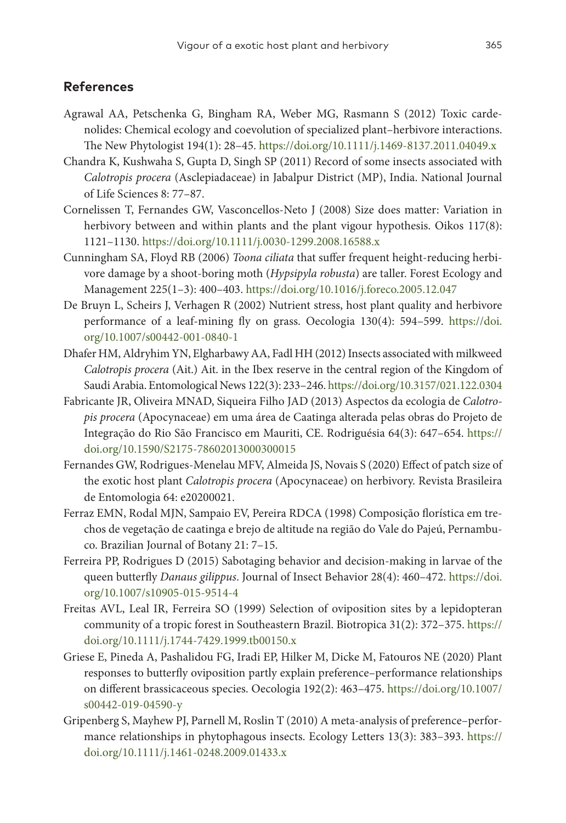## **References**

- Agrawal AA, Petschenka G, Bingham RA, Weber MG, Rasmann S (2012) Toxic cardenolides: Chemical ecology and coevolution of specialized plant–herbivore interactions. The New Phytologist 194(1): 28–45.<https://doi.org/10.1111/j.1469-8137.2011.04049.x>
- Chandra K, Kushwaha S, Gupta D, Singh SP (2011) Record of some insects associated with *Calotropis procera* (Asclepiadaceae) in Jabalpur District (MP), India. National Journal of Life Sciences 8: 77–87.
- Cornelissen T, Fernandes GW, Vasconcellos‐Neto J (2008) Size does matter: Variation in herbivory between and within plants and the plant vigour hypothesis. Oikos 117(8): 1121–1130. <https://doi.org/10.1111/j.0030-1299.2008.16588.x>
- Cunningham SA, Floyd RB (2006) *Toona ciliata* that suffer frequent height-reducing herbivore damage by a shoot-boring moth (*Hypsipyla robusta*) are taller. Forest Ecology and Management 225(1–3): 400–403.<https://doi.org/10.1016/j.foreco.2005.12.047>
- De Bruyn L, Scheirs J, Verhagen R (2002) Nutrient stress, host plant quality and herbivore performance of a leaf-mining fly on grass. Oecologia 130(4): 594–599. [https://doi.](https://doi.org/10.1007/s00442-001-0840-1) [org/10.1007/s00442-001-0840-1](https://doi.org/10.1007/s00442-001-0840-1)
- Dhafer HM, Aldryhim YN, Elgharbawy AA, Fadl HH (2012) Insects associated with milkweed *Calotropis procera* (Ait.) Ait. in the Ibex reserve in the central region of the Kingdom of Saudi Arabia. Entomological News 122(3): 233–246.<https://doi.org/10.3157/021.122.0304>
- Fabricante JR, Oliveira MNAD, Siqueira Filho JAD (2013) Aspectos da ecologia de *Calotropis procera* (Apocynaceae) em uma área de Caatinga alterada pelas obras do Projeto de Integração do Rio São Francisco em Mauriti, CE. Rodriguésia 64(3): 647–654. [https://](https://doi.org/10.1590/S2175-78602013000300015) [doi.org/10.1590/S2175-78602013000300015](https://doi.org/10.1590/S2175-78602013000300015)
- Fernandes GW, Rodrigues-Menelau MFV, Almeida JS, Novais S (2020) Effect of patch size of the exotic host plant *Calotropis procera* (Apocynaceae) on herbivory. Revista Brasileira de Entomologia 64: e20200021.
- Ferraz EMN, Rodal MJN, Sampaio EV, Pereira RDCA (1998) Composição florística em trechos de vegetação de caatinga e brejo de altitude na região do Vale do Pajeú, Pernambuco. Brazilian Journal of Botany 21: 7–15.
- Ferreira PP, Rodrigues D (2015) Sabotaging behavior and decision-making in larvae of the queen butterfly *Danaus gilippus*. Journal of Insect Behavior 28(4): 460–472. [https://doi.](https://doi.org/10.1007/s10905-015-9514-4) [org/10.1007/s10905-015-9514-4](https://doi.org/10.1007/s10905-015-9514-4)
- Freitas AVL, Leal IR, Ferreira SO (1999) Selection of oviposition sites by a lepidopteran community of a tropic forest in Southeastern Brazil. Biotropica 31(2): 372–375. [https://](https://doi.org/10.1111/j.1744-7429.1999.tb00150.x) [doi.org/10.1111/j.1744-7429.1999.tb00150.x](https://doi.org/10.1111/j.1744-7429.1999.tb00150.x)
- Griese E, Pineda A, Pashalidou FG, Iradi EP, Hilker M, Dicke M, Fatouros NE (2020) Plant responses to butterfly oviposition partly explain preference–performance relationships on different brassicaceous species. Oecologia 192(2): 463–475. [https://doi.org/10.1007/](https://doi.org/10.1007/s00442-019-04590-y) [s00442-019-04590-y](https://doi.org/10.1007/s00442-019-04590-y)
- Gripenberg S, Mayhew PJ, Parnell M, Roslin T (2010) A meta‐analysis of preference–performance relationships in phytophagous insects. Ecology Letters 13(3): 383–393. [https://](https://doi.org/10.1111/j.1461-0248.2009.01433.x) [doi.org/10.1111/j.1461-0248.2009.01433.x](https://doi.org/10.1111/j.1461-0248.2009.01433.x)